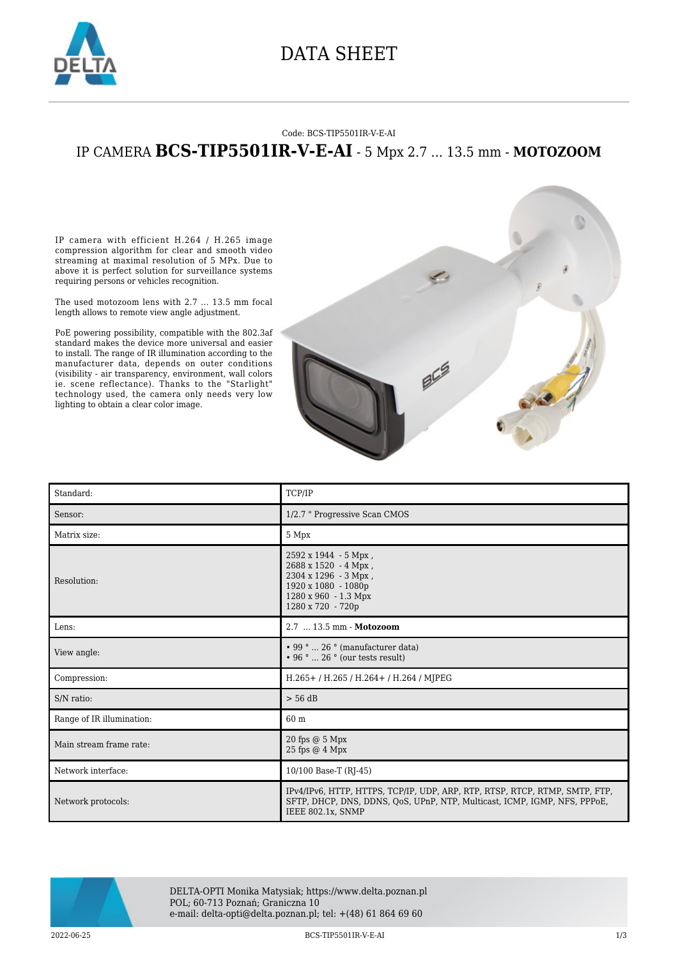

## DATA SHEET

#### Code: BCS-TIP5501IR-V-E-AI

### IP CAMERA **BCS-TIP5501IR-V-E-AI** - 5 Mpx 2.7 ... 13.5 mm - **MOTOZOOM**

IP camera with efficient H.264 / H.265 image compression algorithm for clear and smooth video streaming at maximal resolution of 5 MPx. Due to above it is perfect solution for surveillance systems requiring persons or vehicles recognition.

The used motozoom lens with 2.7 ... 13.5 mm focal length allows to remote view angle adjustment.

PoE powering possibility, compatible with the 802.3af standard makes the device more universal and easier to install. The range of IR illumination according to the manufacturer data, depends on outer conditions (visibility - air transparency, environment, wall colors ie. scene reflectance). Thanks to the "Starlight" technology used, the camera only needs very low lighting to obtain a clear color image.



| Standard:                 | TCP/IP                                                                                                                                                                        |
|---------------------------|-------------------------------------------------------------------------------------------------------------------------------------------------------------------------------|
| Sensor:                   | 1/2.7 " Progressive Scan CMOS                                                                                                                                                 |
| Matrix size:              | 5 Mpx                                                                                                                                                                         |
| Resolution:               | $2592 \times 1944 - 5$ Mpx,<br>$2688 \times 1520 - 4$ Mpx,<br>2304 x 1296 - 3 Mpx,<br>1920 x 1080 - 1080p<br>1280 x 960 - 1.3 Mpx<br>1280 x 720 - 720p                        |
| Lens:                     | 2.7  13.5 mm - Motozoom                                                                                                                                                       |
| View angle:               | $\cdot$ 99 °  26 ° (manufacturer data)<br>$\cdot$ 96 °  26 ° (our tests result)                                                                                               |
| Compression:              | H.265+/H.265/H.264+/H.264/MJPEG                                                                                                                                               |
| S/N ratio:                | $> 56$ dB                                                                                                                                                                     |
| Range of IR illumination: | 60 m                                                                                                                                                                          |
| Main stream frame rate:   | 20 fps $@5$ Mpx<br>25 fps @ 4 Mpx                                                                                                                                             |
| Network interface:        | 10/100 Base-T (RJ-45)                                                                                                                                                         |
| Network protocols:        | IPv4/IPv6, HTTP, HTTPS, TCP/IP, UDP, ARP, RTP, RTSP, RTCP, RTMP, SMTP, FTP,<br>SFTP, DHCP, DNS, DDNS, QoS, UPnP, NTP, Multicast, ICMP, IGMP, NFS, PPPoE,<br>IEEE 802.1x, SNMP |



DELTA-OPTI Monika Matysiak; https://www.delta.poznan.pl POL; 60-713 Poznań; Graniczna 10 e-mail: delta-opti@delta.poznan.pl; tel: +(48) 61 864 69 60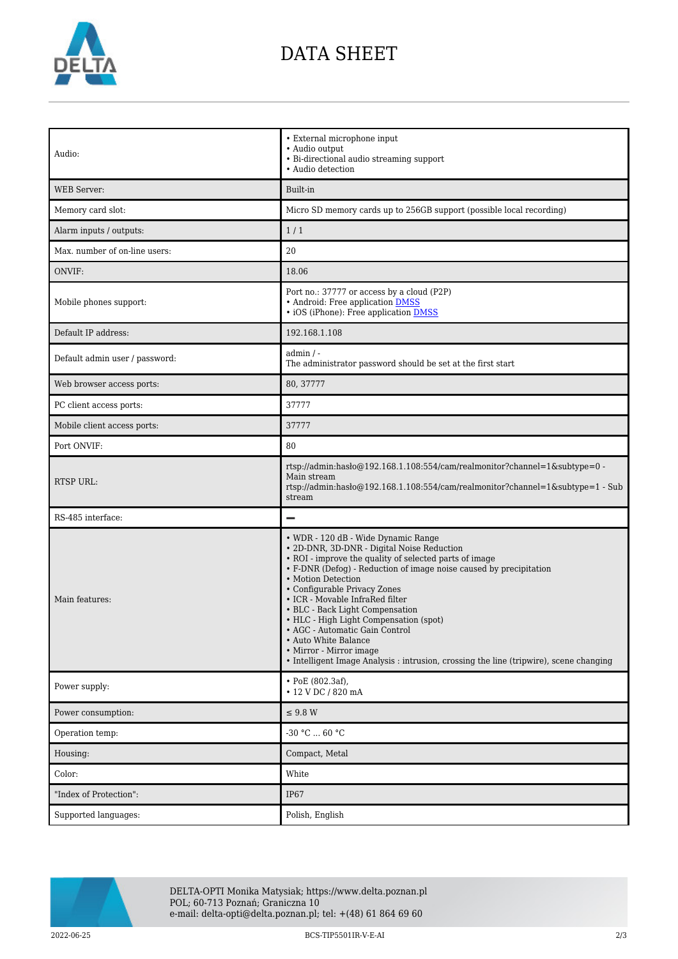

# DATA SHEET

| Audio:                         | • External microphone input<br>• Audio output<br>• Bi-directional audio streaming support<br>• Audio detection                                                                                                                                                                                                                                                                                                                                                                                                                                                         |
|--------------------------------|------------------------------------------------------------------------------------------------------------------------------------------------------------------------------------------------------------------------------------------------------------------------------------------------------------------------------------------------------------------------------------------------------------------------------------------------------------------------------------------------------------------------------------------------------------------------|
| <b>WEB</b> Server:             | Built-in                                                                                                                                                                                                                                                                                                                                                                                                                                                                                                                                                               |
| Memory card slot:              | Micro SD memory cards up to 256GB support (possible local recording)                                                                                                                                                                                                                                                                                                                                                                                                                                                                                                   |
| Alarm inputs / outputs:        | 1/1                                                                                                                                                                                                                                                                                                                                                                                                                                                                                                                                                                    |
| Max. number of on-line users:  | 20                                                                                                                                                                                                                                                                                                                                                                                                                                                                                                                                                                     |
| ONVIF:                         | 18.06                                                                                                                                                                                                                                                                                                                                                                                                                                                                                                                                                                  |
| Mobile phones support:         | Port no.: 37777 or access by a cloud (P2P)<br>• Android: Free application DMSS<br>• iOS (iPhone): Free application <b>DMSS</b>                                                                                                                                                                                                                                                                                                                                                                                                                                         |
| Default IP address:            | 192.168.1.108                                                                                                                                                                                                                                                                                                                                                                                                                                                                                                                                                          |
| Default admin user / password: | $admin / -$<br>The administrator password should be set at the first start                                                                                                                                                                                                                                                                                                                                                                                                                                                                                             |
| Web browser access ports:      | 80, 37777                                                                                                                                                                                                                                                                                                                                                                                                                                                                                                                                                              |
| PC client access ports:        | 37777                                                                                                                                                                                                                                                                                                                                                                                                                                                                                                                                                                  |
| Mobile client access ports:    | 37777                                                                                                                                                                                                                                                                                                                                                                                                                                                                                                                                                                  |
| Port ONVIF:                    | 80                                                                                                                                                                                                                                                                                                                                                                                                                                                                                                                                                                     |
| <b>RTSP URL:</b>               | rtsp://admin:hasło@192.168.1.108:554/cam/realmonitor?channel=1&subtype=0 -<br>Main stream<br>rtsp://admin:hasło@192.168.1.108:554/cam/realmonitor?channel=1&subtype=1 - Sub<br>stream                                                                                                                                                                                                                                                                                                                                                                                  |
| RS-485 interface:              |                                                                                                                                                                                                                                                                                                                                                                                                                                                                                                                                                                        |
| Main features:                 | • WDR - 120 dB - Wide Dynamic Range<br>· 2D-DNR, 3D-DNR - Digital Noise Reduction<br>• ROI - improve the quality of selected parts of image<br>• F-DNR (Defog) - Reduction of image noise caused by precipitation<br>• Motion Detection<br>• Configurable Privacy Zones<br>• ICR - Movable InfraRed filter<br>• BLC - Back Light Compensation<br>• HLC - High Light Compensation (spot)<br>• AGC - Automatic Gain Control<br>• Auto White Balance<br>• Mirror - Mirror image<br>• Intelligent Image Analysis : intrusion, crossing the line (tripwire), scene changing |
| Power supply:                  | $\cdot$ PoE (802.3af),<br>• 12 V DC / 820 mA                                                                                                                                                                                                                                                                                                                                                                                                                                                                                                                           |
| Power consumption:             | $\leq$ 9.8 W                                                                                                                                                                                                                                                                                                                                                                                                                                                                                                                                                           |
| Operation temp:                | -30 °C $\ldots$ 60 °C                                                                                                                                                                                                                                                                                                                                                                                                                                                                                                                                                  |
| Housing:                       | Compact, Metal                                                                                                                                                                                                                                                                                                                                                                                                                                                                                                                                                         |
| Color:                         | White                                                                                                                                                                                                                                                                                                                                                                                                                                                                                                                                                                  |
| "Index of Protection":         | <b>IP67</b>                                                                                                                                                                                                                                                                                                                                                                                                                                                                                                                                                            |
| Supported languages:           | Polish, English                                                                                                                                                                                                                                                                                                                                                                                                                                                                                                                                                        |



DELTA-OPTI Monika Matysiak; https://www.delta.poznan.pl POL; 60-713 Poznań; Graniczna 10 e-mail: delta-opti@delta.poznan.pl; tel: +(48) 61 864 69 60